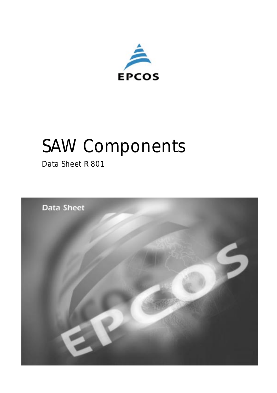

# *SAW Components*

*Data Sheet R 801*

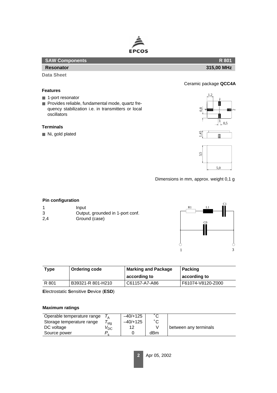

| <b>SAW Components</b> | <b>R</b> 801 |
|-----------------------|--------------|
| <b>Resonator</b>      | 315,00 MHz   |

**Data Sheet**

#### **Features**

- 1-port resonator
- Provides reliable, fundamental mode, quartz frequency stabilization i.e. in transmitters or local oscillators

### **Terminals**

■ Ni, gold plated



Ceramic package **QCC4A**

Dimensions in mm, approx. weight 0,1 g

## **Pin configuration**

- 1 Input 3 Output, grounded in 1-port conf.
- 2,4 Ground (case)



| Type  | <b>Ordering code</b> | <b>Marking and Package</b> | <b>Packing</b>    |  |  |
|-------|----------------------|----------------------------|-------------------|--|--|
|       |                      | according to               | ∣ according to    |  |  |
| R 801 | B39321-R 801-H210    | C61157-A7-A86              | F61074-V8120-Z000 |  |  |

**E**lectrostatic **S**ensitive **D**evice (**ESD**)

#### **Maximum ratings**

| Operable temperature range |                 | $-40/+125$ | $\hat{\phantom{a}}$ |                       |
|----------------------------|-----------------|------------|---------------------|-----------------------|
| Storage temperature range  | stg             | $-40/+125$ | $\hat{\phantom{a}}$ |                       |
| DC voltage                 | $V_{\text{DC}}$ | 12         |                     | between any terminals |
| Source power               |                 |            | dBm                 |                       |
|                            |                 |            |                     |                       |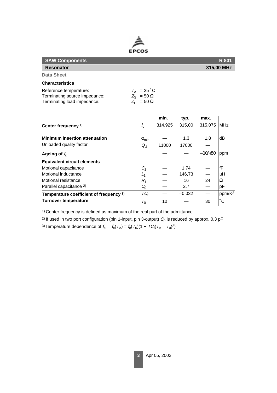

| <b>SAW Components</b>                                                                  |                                                                        | R 801      |
|----------------------------------------------------------------------------------------|------------------------------------------------------------------------|------------|
| <b>Resonator</b>                                                                       |                                                                        | 315,00 MHz |
| <b>Data Sheet</b>                                                                      |                                                                        |            |
| <b>Characteristics</b>                                                                 |                                                                        |            |
| Reference temperature:<br>Terminating source impedance:<br>Terminating load impedance: | $T_A$ = 25 °C<br>$Z_{\rm S} = 50 \Omega$<br>$Z_{\text{I}} = 50 \Omega$ |            |

|                                         |                 | min.    | typ.     | max.      |                    |
|-----------------------------------------|-----------------|---------|----------|-----------|--------------------|
| Center frequency <sup>1)</sup>          | $f_{\rm c}$     | 314,925 | 315,00   | 315,075   | <b>MHz</b>         |
| <b>Minimum insertion attenuation</b>    | $\alpha_{\min}$ |         | 1,3      | 1,8       | dВ                 |
| Unloaded quality factor                 | $Q_{\cup}$      | 11000   | 17000    |           |                    |
| Ageing of $f_c$                         |                 |         |          | $-10/+50$ | ppm                |
| <b>Equivalent circuit elements</b>      |                 |         |          |           |                    |
| Motional capacitance                    | $C_1$           |         | 1,74     |           | fF                 |
| Motional inductance                     | $L_1$           |         | 146,73   |           | μH                 |
| Motional resistance                     | $R_{1}$         |         | 16       | 24        | Ω                  |
| Parallel capacitance <sup>2)</sup>      | $C_0$           |         | 2,7      |           | pF                 |
| Temperature coefficient of frequency 3) | $TC_f$          |         | $-0,032$ |           | ppm/K <sup>2</sup> |
| <b>Turnover temperature</b>             | $T_{0}$         | 10      |          | 30        | $^{\circ}$ C       |

1) Center frequency is defined as maximum of the real part of the admittance

<sup>2)</sup> If used in two port configuration (pin 1-input, pin 3-output)  $C_0$  is reduced by approx. 0,3 pF.

3)Temperature dependence of  $f_c$ :  $f_c(T_A) = f_c(T_0)(1 + TC_f(T_A - T_0)^2)$